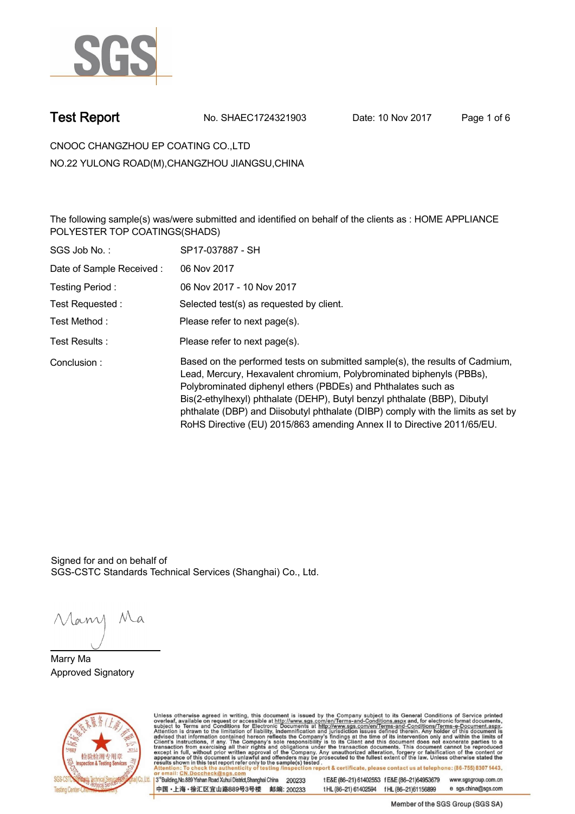

**Test Report. No. SHAEC1724321903** Date: 10 Nov 2017 Page 1 of 6

**CNOOC CHANGZHOU EP COATING CO.,LTD . NO.22 YULONG ROAD(M),CHANGZHOU JIANGSU,CHINA**

**The following sample(s) was/were submitted and identified on behalf of the clients as : HOME APPLIANCE POLYESTER TOP COATINGS(SHADS) .**

| SGS Job No.:             | SP17-037887 - SH                                                                                                                                                                                                                                                                                                                                                                                                                                                  |
|--------------------------|-------------------------------------------------------------------------------------------------------------------------------------------------------------------------------------------------------------------------------------------------------------------------------------------------------------------------------------------------------------------------------------------------------------------------------------------------------------------|
| Date of Sample Received: | 06 Nov 2017                                                                                                                                                                                                                                                                                                                                                                                                                                                       |
| Testing Period:          | 06 Nov 2017 - 10 Nov 2017                                                                                                                                                                                                                                                                                                                                                                                                                                         |
| Test Requested:          | Selected test(s) as requested by client.                                                                                                                                                                                                                                                                                                                                                                                                                          |
| Test Method :            | Please refer to next page(s).                                                                                                                                                                                                                                                                                                                                                                                                                                     |
| Test Results :           | Please refer to next page(s).                                                                                                                                                                                                                                                                                                                                                                                                                                     |
| Conclusion:              | Based on the performed tests on submitted sample(s), the results of Cadmium,<br>Lead, Mercury, Hexavalent chromium, Polybrominated biphenyls (PBBs),<br>Polybrominated diphenyl ethers (PBDEs) and Phthalates such as<br>Bis(2-ethylhexyl) phthalate (DEHP), Butyl benzyl phthalate (BBP), Dibutyl<br>phthalate (DBP) and Diisobutyl phthalate (DIBP) comply with the limits as set by<br>RoHS Directive (EU) 2015/863 amending Annex II to Directive 2011/65/EU. |

Signed for and on behalf of SGS-CSTC Standards Technical Services (Shanghai) Co., Ltd..

Many Ma

**Marry Ma. Approved Signatory .**



Unless otherwise agreed in writing, this document is issued by the Company subject to its General Conditions of Service printed overleaf, available on request or accessible at http://www.sgs.com/en/Terms-and-Conditions.asp

3<sup>rd</sup>Building, No.889 Yishan Road Xuhui District, Shanghai China 200233 中国·上海·徐汇区宜山路889号3号楼 邮编: 200233

t E&E (86-21) 61402553 f E&E (86-21)64953679 www.sgsgroup.com.cn tHL (86-21) 61402594 fHL (86-21) 61156899 e sgs.china@sgs.com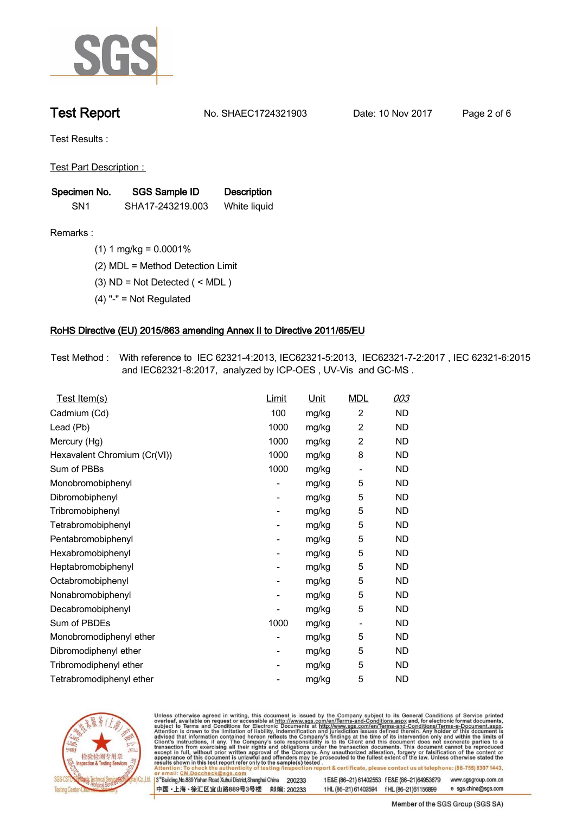

**Test Report. No. SHAEC1724321903 Date: 10 Nov 2017. Page 2 of 6.**

**Test Results :.**

**Test Part Description : .**

| Specimen No.    | SGS Sample ID    | <b>Description</b> |
|-----------------|------------------|--------------------|
| SN <sub>1</sub> | SHA17-243219.003 | White liquid       |

**Remarks :.(1) 1 mg/kg = 0.0001% .**

**(2) MDL = Method Detection Limit .**

**(3) ND = Not Detected ( < MDL ) .**

**(4) "-" = Not Regulated .**

## **RoHS Directive (EU) 2015/863 amending Annex II to Directive 2011/65/EU.**

**Test Method :. With reference to IEC 62321-4:2013, IEC62321-5:2013, IEC62321-7-2:2017 , IEC 62321-6:2015 and IEC62321-8:2017, analyzed by ICP-OES , UV-Vis and GC-MS . .**

| <u>Test Item(s)</u>          | <u>Limit</u>             | <u>Unit</u> | <b>MDL</b>               | 003       |
|------------------------------|--------------------------|-------------|--------------------------|-----------|
| Cadmium (Cd)                 | 100                      | mg/kg       | $\overline{c}$           | <b>ND</b> |
| Lead (Pb)                    | 1000                     | mg/kg       | 2                        | <b>ND</b> |
| Mercury (Hg)                 | 1000                     | mg/kg       | 2                        | ND        |
| Hexavalent Chromium (Cr(VI)) | 1000                     | mg/kg       | 8                        | ND        |
| Sum of PBBs                  | 1000                     | mg/kg       | $\overline{\phantom{a}}$ | <b>ND</b> |
| Monobromobiphenyl            | -                        | mg/kg       | 5                        | <b>ND</b> |
| Dibromobiphenyl              | $\overline{\phantom{0}}$ | mg/kg       | 5                        | <b>ND</b> |
| Tribromobiphenyl             | $\overline{\phantom{0}}$ | mg/kg       | 5                        | <b>ND</b> |
| Tetrabromobiphenyl           | -                        | mg/kg       | 5                        | ND        |
| Pentabromobiphenyl           | $\overline{\phantom{0}}$ | mg/kg       | 5                        | ND        |
| Hexabromobiphenyl            | -                        | mg/kg       | 5                        | ND        |
| Heptabromobiphenyl           | $\overline{\phantom{a}}$ | mg/kg       | 5                        | <b>ND</b> |
| Octabromobiphenyl            | -                        | mg/kg       | 5                        | <b>ND</b> |
| Nonabromobiphenyl            | -                        | mg/kg       | 5                        | ND        |
| Decabromobiphenyl            | $\overline{a}$           | mg/kg       | 5                        | <b>ND</b> |
| Sum of PBDEs                 | 1000                     | mg/kg       | $\overline{\phantom{a}}$ | <b>ND</b> |
| Monobromodiphenyl ether      | -                        | mg/kg       | 5                        | ND        |
| Dibromodiphenyl ether        | ۰                        | mg/kg       | 5                        | <b>ND</b> |
| Tribromodiphenyl ether       | -                        | mg/kg       | 5                        | ND        |
| Tetrabromodiphenyl ether     |                          | mg/kg       | 5                        | <b>ND</b> |



Unless otherwise agreed in writing, this document is issued by the Company subject to its General Conditions of Service printed overleaf, available on request or accessible at http://www.sgs.com/en/Terms-and-Conditions.asp

3<sup>rd</sup>Building, No.889 Yishan Road Xuhui District, Shanghai China 200233 中国·上海·徐汇区宜山路889号3号楼 邮编: 200233 t E&E (86-21) 61402553 f E&E (86-21)64953679 www.sgsgroup.com.cn

t HL (86-21) 61402594 f HL (86-21) 61156899 e sgs.china@sgs.com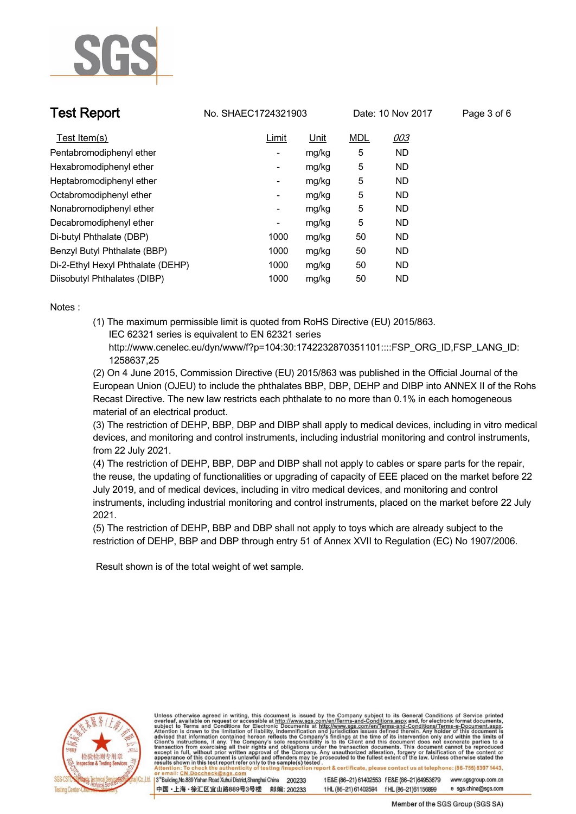

**Test Report. No. SHAEC1724321903** Date: 10 Nov 2017 Page 3 of 6

| Test Item(s)                      | Limit                    | <u>Unit</u> | <b>MDL</b> | 003       |
|-----------------------------------|--------------------------|-------------|------------|-----------|
| Pentabromodiphenyl ether          | ۰                        | mg/kg       | 5          | <b>ND</b> |
| Hexabromodiphenyl ether           | ۰                        | mg/kg       | 5          | <b>ND</b> |
| Heptabromodiphenyl ether          | $\overline{\phantom{a}}$ | mg/kg       | 5          | <b>ND</b> |
| Octabromodiphenyl ether           | -                        | mg/kg       | 5          | <b>ND</b> |
| Nonabromodiphenyl ether           | ۰                        | mg/kg       | 5          | <b>ND</b> |
| Decabromodiphenyl ether           | ۰                        | mg/kg       | 5          | <b>ND</b> |
| Di-butyl Phthalate (DBP)          | 1000                     | mg/kg       | 50         | <b>ND</b> |
| Benzyl Butyl Phthalate (BBP)      | 1000                     | mg/kg       | 50         | <b>ND</b> |
| Di-2-Ethyl Hexyl Phthalate (DEHP) | 1000                     | mg/kg       | 50         | ND.       |
| Diisobutyl Phthalates (DIBP)      | 1000                     | mg/kg       | 50         | <b>ND</b> |

**Notes :.**

**(1) The maximum permissible limit is quoted from RoHS Directive (EU) 2015/863. IEC 62321 series is equivalent to EN 62321 series**

 **http://www.cenelec.eu/dyn/www/f?p=104:30:1742232870351101::::FSP\_ORG\_ID,FSP\_LANG\_ID: 1258637,25**

**(2) On 4 June 2015, Commission Directive (EU) 2015/863 was published in the Official Journal of the European Union (OJEU) to include the phthalates BBP, DBP, DEHP and DIBP into ANNEX II of the Rohs Recast Directive. The new law restricts each phthalate to no more than 0.1% in each homogeneous material of an electrical product.** 

**(3) The restriction of DEHP, BBP, DBP and DIBP shall apply to medical devices, including in vitro medical devices, and monitoring and control instruments, including industrial monitoring and control instruments, from 22 July 2021.**

**(4) The restriction of DEHP, BBP, DBP and DIBP shall not apply to cables or spare parts for the repair, the reuse, the updating of functionalities or upgrading of capacity of EEE placed on the market before 22 July 2019, and of medical devices, including in vitro medical devices, and monitoring and control instruments, including industrial monitoring and control instruments, placed on the market before 22 July 2021.** 

**(5) The restriction of DEHP, BBP and DBP shall not apply to toys which are already subject to the restriction of DEHP, BBP and DBP through entry 51 of Annex XVII to Regulation (EC) No 1907/2006. .**

 **Result shown is of the total weight of wet sample. .**



Unless otherwise agreed in writing, this document is issued by the Company subject to its General Conditions of Service printed overleaf, available on request or accessible at http://www.sgs.com/en/Terms-and-Conditions.asp results shown in this test report refer only to the sample(s) tested report & certificate, please contact us at telephone: (86-755) 8307 1443,

3<sup>rd</sup> Building, No.889 Yishan Road Xuhui District, Shanghai China 200233 中国·上海·徐汇区宜山路889号3号楼 邮编: 200233 t E&E (86-21) 61402553 f E&E (86-21)64953679 www.sgsgroup.com.cn e sgs.china@sgs.com tHL (86-21) 61402594 fHL (86-21) 61156899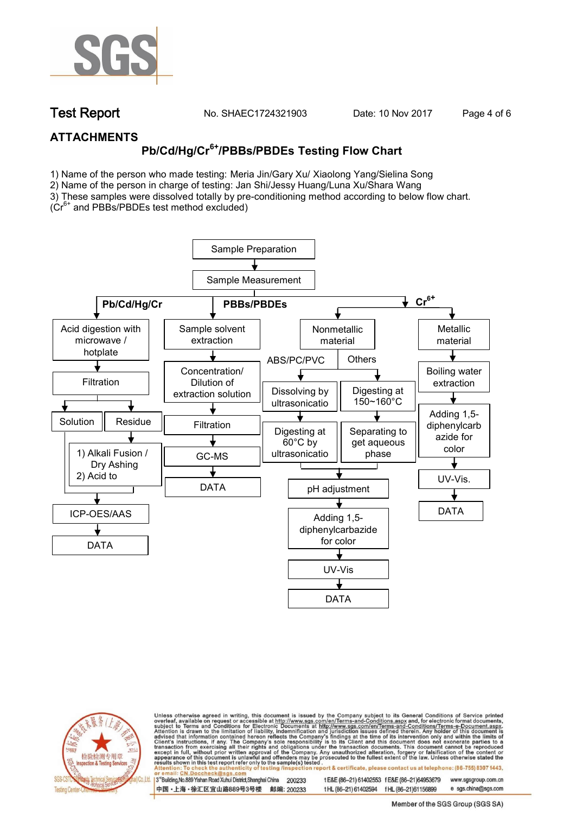

**Test Report. No. SHAEC1724321903** Date: 10 Nov 2017 Page 4 of 6

## **ATTACHMENTS**

# **Pb/Cd/Hg/Cr6+/PBBs/PBDEs Testing Flow Chart**

1) Name of the person who made testing: Meria Jin/Gary Xu/ Xiaolong Yang/Sielina Song

2) Name of the person in charge of testing: Jan Shi/Jessy Huang/Luna Xu/Shara Wang

3) These samples were dissolved totally by pre-conditioning method according to below flow chart. (Cr6+ and PBBs/PBDEs test method excluded)

Sample Preparation Sample Measurement **Pb/Cd/Hg/Cr PBBs/PBDEs and PBBs/PBDEs** Acid digestion with Sample solvent Nonmetallic Metallic microwave / extraction material material hotplate ABS/PC/PVC **Others** ↓ Concentration/  $\sqrt{2\pi}$ Boiling water **Filtration** Dilution of extraction Dissolving by Digesting at extraction solution 150~160°C ultrasonicatio Adding 1,5-  $\sqrt{1-\frac{1}{2}}$ Solution Residue **Filtration** diphenylcarb Digesting at Separating to azide for get aqueous 60°C by color 1) Alkali Fusion / ultrasonicatio phaseGC-MS  $\frac{1}{2}$ Dry Ashing <u>n Silvesson (</u> 2) Acid to UV-Vis. DATA dissolvered and the second pH adjustment DATA ICP-OES/AAS Adding 1,5 diphenylcarbazide for color DATA development and the state of the state of the state of the state of the state of the state of the state of the UV-Vis DATA



Unless otherwise agreed in writing, this document is issued by the Company subject to its General Conditions of Service printed overleaf, available on request or accessible at http://www.sgs.com/en/Terms-and-Conditions.asp on report & certificate, please contact us at telephone: (86-755) 8307 1443, esting /ins

13<sup>rd</sup> Building, No.889 Yishan Road Xuhui District, Shanghai China 200233 中国·上海·徐汇区宜山路889号3号楼 邮编: 200233 tE&E (86-21) 61402553 fE&E (86-21)64953679 www.sgsgroup.com.cn

t HL (86-21) 61402594 f HL (86-21)61156899 e sgs.china@sgs.com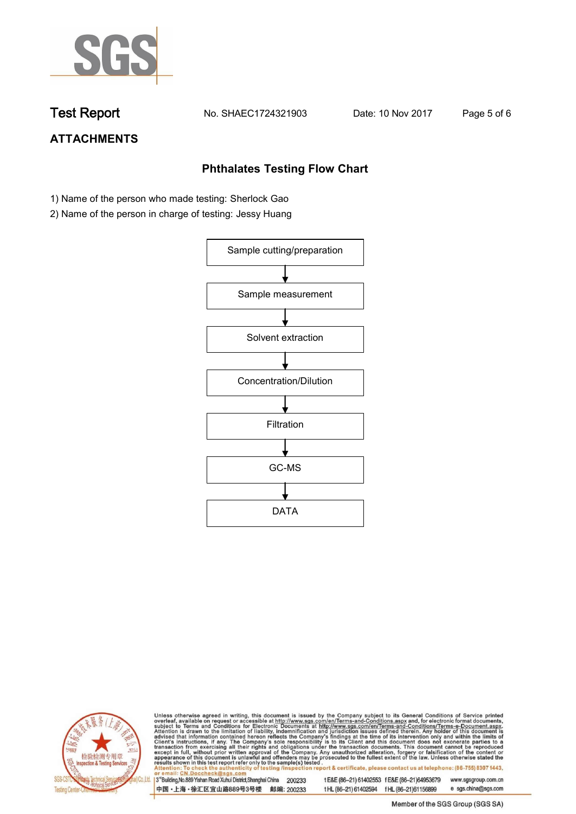

**Test Report. No. SHAEC1724321903 Date: 10 Nov 2017. Page 5 of 6.**

## **ATTACHMENTS**

## **Phthalates Testing Flow Chart**

- 1) Name of the person who made testing: Sherlock Gao
- 2) Name of the person in charge of testing: Jessy Huang





Unless otherwise agreed in writing, this document is issued by the Company subject to its General Conditions of Service printed overleaf, available on request or accessible at http://www.sgs.com/en/Terms-and-Conditions.asp

3<sup>rd</sup>Building, No.889 Yishan Road Xuhui District, Shanghai China 200233 中国·上海·徐汇区宜山路889号3号楼 邮编: 200233 t E&E (86-21) 61402553 f E&E (86-21)64953679 www.sgsgroup.com.cn t HL (86-21) 61402594 f HL (86-21) 61156899 e sgs.china@sgs.com